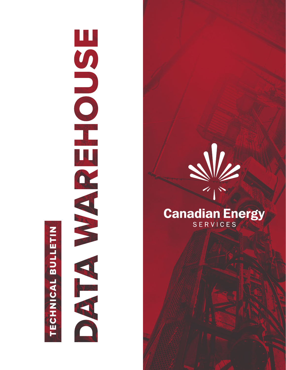# TECHNICAL BULLETIN

# 



## **Canadian Energy** SERVICES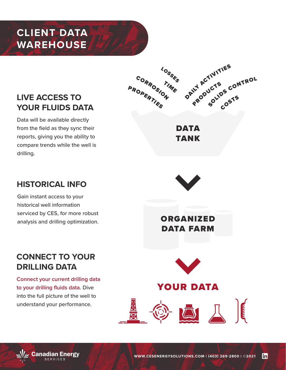# **CLIENT DATA WAREHOUSE**

### **LIVE ACCESS TO YOUR FLUIDS DATA**

Data will be available directly from the field as they sync their reports, giving you the ability to compare trends while the well is drilling.



DATA TANK

### **HISTORICAL INFO**

Gain instant access to your historical well information serviced by CES, for more robust analysis and drilling optimization.



ORGANIZED DATA FARM

### **CONNECT TO YOUR DRILLING DATA**

**Connect your current drilling data to your drilling fluids data.** Dive into the full picture of the well to understand your performance.



### YOUR DATA

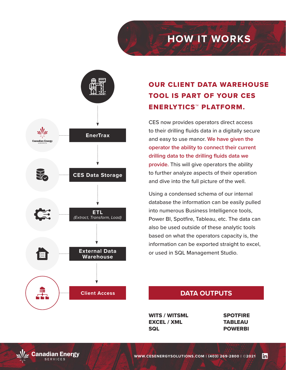# **HOW IT WORKS**

![](_page_2_Figure_1.jpeg)

### OUR CLIENT DATA WAREHOUSE TOOL IS PART OF YOUR CES ENERLYTICS™ PLATFORM.

CES now provides operators direct access to their drilling fluids data in a digitally secure and easy to use manor. **We have given the operator the ability to connect their current drilling data to the drilling fluids data we provide.** This will give operators the ability to further analyze aspects of their operation and dive into the full picture of the well.

Using a condensed schema of our internal database the information can be easily pulled into numerous Business Intelligence tools, Power BI, Spotfire, Tableau, etc. The data can also be used outside of these analytic tools based on what the operators capacity is, the information can be exported straight to excel, or used in SQL Management Studio.

### **DATA OUTPUTS**

WITS / WITSML EXCEL / XML **SQL** 

SPOTFIRE **TABLEAU** POWERBI

![](_page_2_Picture_8.jpeg)